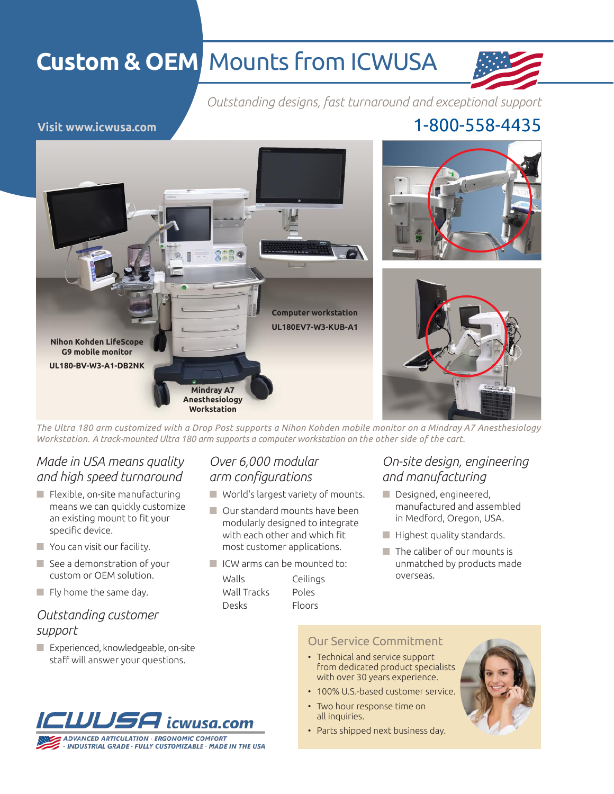# **Custom & OEM** Mounts from ICWUSA



*Outstanding designs, fast turnaround and exceptional support*

**Visit www.icwusa.com** 1-800-558-4435



*The Ultra 180 arm customized with a Drop Post supports a Nihon Kohden mobile monitor on a Mindray A7 Anesthesiology Workstation. A track-mounted Ultra 180 arm supports a computer workstation on the other side of the cart.*

### *Made in USA means quality and high speed turnaround*

- Flexible, on-site manufacturing means we can quickly customize an existing mount to fit your specific device.
- You can visit our facility.
- See a demonstration of your custom or OEM solution.
- $\blacksquare$  Fly home the same day.

### *Outstanding customer support*

**Experienced, knowledgeable, on-site** staff will answer your questions.



### *Over 6,000 modular arm configurations*

- World's largest variety of mounts.
- Our standard mounts have been modularly designed to integrate with each other and which fit most customer applications.
- ICW arms can be mounted to:

| Walls       | Ceiling       |
|-------------|---------------|
| Wall Tracks | Poles         |
| Desks       | <b>Floors</b> |

### *On-site design, engineering and manufacturing*

- Designed, engineered, manufactured and assembled in Medford, Oregon, USA.
- $\blacksquare$  Highest quality standards.
- $\blacksquare$  The caliber of our mounts is unmatched by products made eilings overseas.

#### Our Service Commitment

- Technical and service support from dedicated product specialists with over 30 years experience.
- 100% U.S.-based customer service.
- Two hour response time on all inquiries.
- Parts shipped next business day.

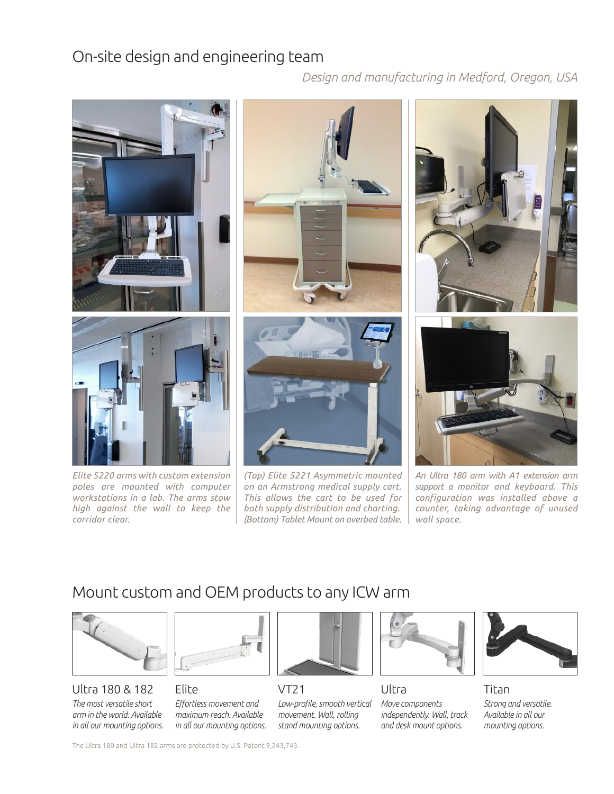### On-site design and engineering team

*Design and manufacturing in Medford, Oregon, USA*



*Elite 5220 arms with custom extension poles are mounted with computer workstations in a lab. The arms stow high against the wall to keep the corridor clear.*





*(Top) Elite 5221 Asymmetric mounted on an Armstrong medical supply cart. This allows the cart to be used for both supply distribution and charting. (Bottom) Tablet Mount on overbed table.*





*An Ultra 180 arm with A1 extension arm support a monitor and keyboard. This configuration was installed above a counter, taking advantage of unused wall space.*

## Mount custom and OEM products to any ICW arm



#### Ultra 180 & 182 *The most versatile short*

*arm in the world. Available in all our mounting options.*



Elite *Effortless movement and maximum reach. Available in all our mounting options.*



VT21





Ultra

*Move components independently. Wall, track and desk mount options.*



Titan *Strong and versatile. Available in all our mounting options.*

The Ultra 180 and Ultra 182 arms are protected by U.S. Patent 9,243,743.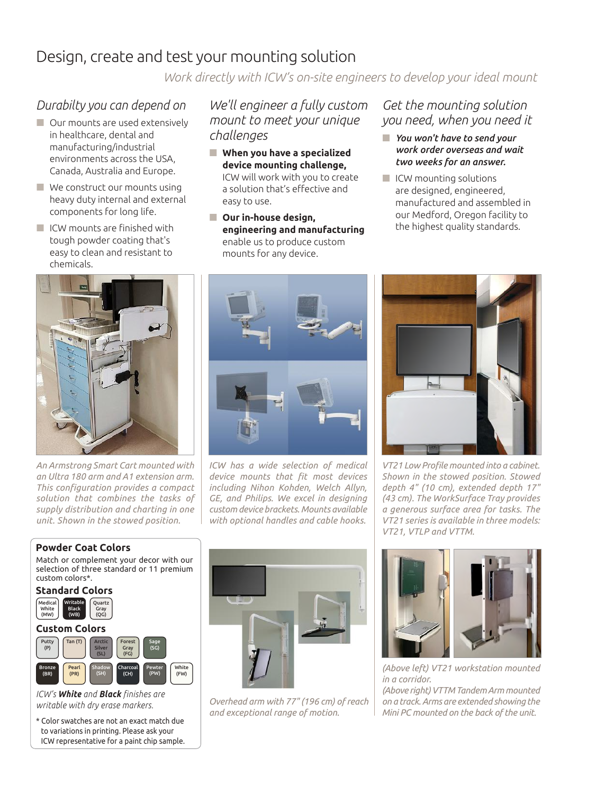### Design, create and test your mounting solution

*Work directly with ICW's on-site engineers to develop your ideal mount*

### *Durabilty you can depend on*

- **Our mounts are used extensively** in healthcare, dental and manufacturing/industrial environments across the USA, Canada, Australia and Europe.
- We construct our mounts using heavy duty internal and external components for long life.
- **ICW** mounts are finished with tough powder coating that's easy to clean and resistant to chemicals.

### *We'll engineer a fully custom mount to meet your unique challenges*

- **When you have a specialized device mounting challenge,** ICW will work with you to create a solution that's effective and easy to use.
- **Our in-house design, engineering and manufacturing** enable us to produce custom mounts for any device.

*Get the mounting solution you need, when you need it*

- *You won't have to send your work order overseas and wait two weeks for an answer.*
- $\blacksquare$  ICW mounting solutions are designed, engineered, manufactured and assembled in our Medford, Oregon facility to the highest quality standards.



*An Armstrong Smart Cart mounted with an Ultra 180 arm and A1 extension arm. This configuration provides a compact solution that combines the tasks of supply distribution and charting in one unit. Shown in the stowed position.*



*ICW has a wide selection of medical device mounts that fit most devices including Nihon Kohden, Welch Allyn, GE, and Philips. We excel in designing custom device brackets. Mounts available with optional handles and cable hooks.*



*VT21 Low Profile mounted into a cabinet. Shown in the stowed position. Stowed depth 4" (10 cm), extended depth 17" (43 cm). The WorkSurface Tray provides a generous surface area for tasks. The VT21 series is available in three models: VT21, VTLP and VTTM.*

#### **Powder Coat Colors**

Match or complement your decor with our selection of three standard or 11 premium custom colors\*.



*ICW's White and Black finishes are writable with dry erase markers.* 

\* Color swatches are not an exact match due to variations in printing. Please ask your ICW representative for a paint chip sample.



*Overhead arm with 77" (196 cm) of reach and exceptional range of motion.* 



*(Above left) VT21 workstation mounted in a corridor.* 

*(Above right) VTTM Tandem Arm mounted on a track. Arms are extended showing the Mini PC mounted on the back of the unit.*